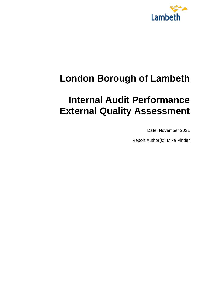

# **London Borough of Lambeth**

# **Internal Audit Performance External Quality Assessment**

Date: November 2021

Report Author(s): Mike Pinder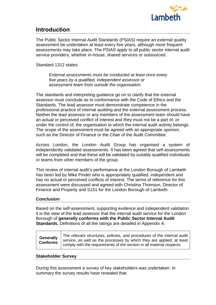

### **Introduction**

The Public Sector Internal Audit Standards (PSIAS) require an external quality assessment be undertaken at least every five years, although more frequent assessments may take place. The PSIAS apply to all public sector internal audit service providers, whether in-house, shared services or outsourced.

Standard 1312 states:

*External assessments must be conducted at least once every five years by a qualified, independent assessor or assessment team from outside the organisation.*

The standards and interpreting guidance go on to clarify that the external assessor must conclude as to conformance with the Code of Ethics and the Standards. The lead assessor must demonstrate competence in the professional practice of internal auditing and the external assessment process. Neither the lead assessor or any members of the assessment team should have an actual or perceived conflict of interest and they must not be a part of, or under the control of, the organisation to which the internal audit activity belongs. The scope of the assessment must be agreed with an appropriate sponsor, such as the Director of Finance or the Chair of the Audit Committee.

Across London, the London Audit Group has organised a system of independently validated assessments. It has been agreed that self-assessments will be completed and that these will be validated by suitably qualified individuals or teams from other members of the group.

This review of internal audit's performance at the London Borough of Lambeth has been led by Mike Pinder who is appropriately qualified, independent and has no actual or perceived conflicts of interest. The terms of reference for this assessment were discussed and agreed with Christina Thomson, Director of Finance and Property and S151 for the London Borough of Lambeth.

#### **Conclusion**

Based on the self-assessment, supporting evidence and independent validation it is the view of the lead assessor that the internal audit service for the London Borough of **generally conforms with the Public Sector Internal Audit Standards.** Definitions of all the ratings are detailed in Appendix A.

#### **Stakeholder Survey**

During this assessment a survey of key stakeholders was undertaken. In summary the survey results have revealed that: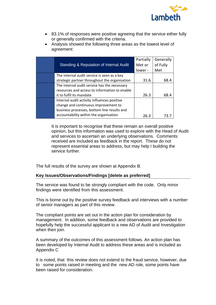

- 83.1% of responses were positive agreeing that the service either fully or generally confirmed with the criteria.
- Analysis showed the following three areas as the lowest level of agreement:

| Standing & Reputation of Internal Audit                                                                                                                                      | Partially<br>Met or<br>lower - | Generally<br>of Fully<br>Met |
|------------------------------------------------------------------------------------------------------------------------------------------------------------------------------|--------------------------------|------------------------------|
| The internal audit service is seen as a key<br>strategic partner throughout the organisation                                                                                 | 31.6                           | 68.4                         |
| The internal audit service has the necessary<br>resources and access to information to enable<br>it to fulfil its mandate                                                    | 26.3                           | 68.4                         |
| Internal audit activity influences positive<br>change and continuous improvement to<br>business processes, bottom line results and<br>accountability within the organisation | 26.3                           |                              |

It is important to recognise that these remain an overall positive opinion, but this information was used to explore with the Head of Audit and services to ascertain an underlying observations. Comments received are included as feedback in the report. These do not represent essential areas to address, but may help I building the service further.

The full results of the survey are shown at Appendix B.

#### **Key Issues/Observations/Findings [delete as preferred]**

The service was found to be strongly compliant with the code. Only minor findings were identified from this assessment.

This is borne out by the positive survey feedback and interviews with a number of senior managers as part of this review.

The compliant points are set out in the action plan for consideration by management. In addition, some feedback and observations are provided to hopefully help the successful applicant to a new AD of Audit and Investigation when then join.

A summary of the outcomes of this assessment follows. An action plan has been developed by Internal Audit to address these areas and is included as Appendix C

It is noted, that this review does not extend to the fraud service, however, due to some points raised in meeting and the new AD role, some points have been raised for consideration.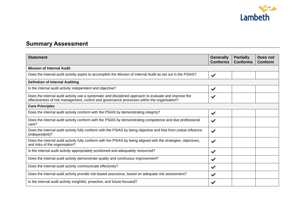

### **Summary Assessment**

| <b>Statement</b>                                                                                                                                                                                      | <b>Generally</b><br><b>Conforms</b> | <b>Partially</b><br><b>Conforms</b> | Does not<br><b>Conform</b> |
|-------------------------------------------------------------------------------------------------------------------------------------------------------------------------------------------------------|-------------------------------------|-------------------------------------|----------------------------|
| <b>Mission of Internal Audit</b>                                                                                                                                                                      |                                     |                                     |                            |
| Does the internal audit activity aspire to accomplish the Mission of Internal Audit as set out in the PSIAS?                                                                                          | $\blacktriangledown$                |                                     |                            |
| <b>Definition of Internal Auditing</b>                                                                                                                                                                |                                     |                                     |                            |
| Is the internal audit activity independent and objective?                                                                                                                                             | $\blacktriangledown$                |                                     |                            |
| Does the internal audit activity use a systematic and disciplined approach to evaluate and improve the<br>effectiveness of risk management, control and governance processes within the organisation? |                                     |                                     |                            |
| <b>Core Principles</b>                                                                                                                                                                                |                                     |                                     |                            |
| Does the internal audit activity conform with the PSIAS by demonstrating integrity?                                                                                                                   | $\blacktriangledown$                |                                     |                            |
| Does the internal audit activity conform with the PSIAS by demonstrating competence and due professional<br>care?                                                                                     | $\blacktriangleright$               |                                     |                            |
| Does the internal audit activity fully conform with the PSIAS by being objective and free from undue influence<br>(independent)?                                                                      | $\blacktriangledown$                |                                     |                            |
| Does the internal audit activity fully conform with the PSIAS by being aligned with the strategies, objectives,<br>and risks of the organisation?                                                     | $\blacktriangleright$               |                                     |                            |
| Is the internal audit activity appropriately positioned and adequately resourced?                                                                                                                     | $\blacktriangledown$                |                                     |                            |
| Does the internal audit activity demonstrate quality and continuous improvement?                                                                                                                      |                                     |                                     |                            |
| Does the internal audit activity communicate effectively?                                                                                                                                             | $\blacktriangledown$                |                                     |                            |
| Does the internal audit activity provide risk-based assurance, based on adequate risk assessment?                                                                                                     | $\blacktriangleright$               |                                     |                            |
| Is the internal audit activity insightful, proactive, and future-focused?                                                                                                                             |                                     |                                     |                            |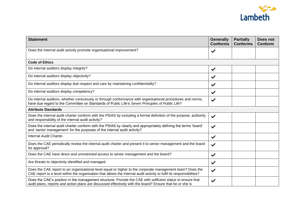

| <b>Statement</b>                                                                                                                                                                                                                   | <b>Generally</b><br><b>Conforms</b> | <b>Partially</b><br><b>Conforms</b> | Does not<br>Conform |
|------------------------------------------------------------------------------------------------------------------------------------------------------------------------------------------------------------------------------------|-------------------------------------|-------------------------------------|---------------------|
| Does the internal audit activity promote organisational improvement?                                                                                                                                                               | $\blacktriangledown$                |                                     |                     |
| <b>Code of Ethics</b>                                                                                                                                                                                                              |                                     |                                     |                     |
| Do internal auditors display integrity?                                                                                                                                                                                            | $\blacktriangledown$                |                                     |                     |
| Do internal auditors display objectivity?                                                                                                                                                                                          | $\blacktriangledown$                |                                     |                     |
| Do internal auditors display due respect and care by maintaining confidentiality?                                                                                                                                                  | $\blacktriangledown$                |                                     |                     |
| Do internal auditors display competency?                                                                                                                                                                                           | $\blacktriangledown$                |                                     |                     |
| Do internal auditors, whether consciously or through conformance with organisational procedures and norms,<br>have due regard to the Committee on Standards of Public Life's Seven Principles of Public Life?                      | $\blacktriangledown$                |                                     |                     |
| <b>Attribute Standards</b>                                                                                                                                                                                                         |                                     |                                     |                     |
| Does the internal audit charter conform with the PSIAS by including a formal definition of the purpose, authority<br>and responsibility of the internal audit activity?                                                            | $\blacktriangledown$                |                                     |                     |
| Does the internal audit charter conform with the PSIAS by clearly and appropriately defining the terms 'board'<br>and 'senior management' for the purposes of the internal audit activity?                                         | $\blacktriangledown$                |                                     |                     |
| Internal Audit Charter.                                                                                                                                                                                                            | $\blacktriangledown$                |                                     |                     |
| Does the CAE periodically review the internal audit charter and present it to senior management and the board<br>for approval?                                                                                                     | $\blacktriangledown$                |                                     |                     |
| Does the CAE have direct and unrestricted access to senior management and the board?                                                                                                                                               | $\blacktriangledown$                |                                     |                     |
| Are threats to objectivity identified and managed.                                                                                                                                                                                 | $\checkmark$                        |                                     |                     |
| Does the CAE report to an organisational level equal or higher to the corporate management team? Does the<br>CAE report to a level within the organisation that allows the internal audit activity to fulfil its responsibilities? | $\blacktriangledown$                |                                     |                     |
| Does the CAE's position in the management structure: Provide the CAE with sufficient status to ensure that<br>audit plans, reports and action plans are discussed effectively with the board? Ensure that he or she is             | $\blacktriangledown$                |                                     |                     |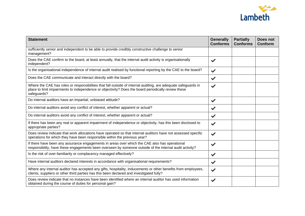

| <b>Statement</b>                                                                                                                                                                                                                     | <b>Generally</b><br><b>Conforms</b> | <b>Partially</b><br><b>Conforms</b> | Does not<br>Conform |
|--------------------------------------------------------------------------------------------------------------------------------------------------------------------------------------------------------------------------------------|-------------------------------------|-------------------------------------|---------------------|
| sufficiently senior and independent to be able to provide credibly constructive challenge to senior<br>management?                                                                                                                   |                                     |                                     |                     |
| Does the CAE confirm to the board, at least annually, that the internal audit activity is organisationally<br>independent?                                                                                                           | $\blacktriangledown$                |                                     |                     |
| Is the organisational independence of internal audit realised by functional reporting by the CAE to the board?                                                                                                                       | $\blacktriangledown$                |                                     |                     |
| Does the CAE communicate and interact directly with the board?                                                                                                                                                                       | $\blacktriangledown$                |                                     |                     |
| Where the CAE has roles or responsibilities that fall outside of internal auditing, are adequate safeguards in<br>place to limit impairments to independence or objectivity? Does the board periodically review these<br>safeguards? | $\blacktriangledown$                |                                     |                     |
| Do internal auditors have an impartial, unbiased attitude?                                                                                                                                                                           | $\blacktriangledown$                |                                     |                     |
| Do internal auditors avoid any conflict of interest, whether apparent or actual?                                                                                                                                                     | $\blacktriangledown$                |                                     |                     |
| Do internal auditors avoid any conflict of interest, whether apparent or actual?                                                                                                                                                     | $\blacktriangledown$                |                                     |                     |
| If there has been any real or apparent impairment of independence or objectivity, has this been disclosed to<br>appropriate parties?                                                                                                 | $\blacktriangledown$                |                                     |                     |
| Does review indicate that work allocations have operated so that internal auditors have not assessed specific<br>operations for which they have been responsible within the previous year?                                           | $\blacktriangledown$                |                                     |                     |
| If there have been any assurance engagements in areas over which the CAE also has operational<br>responsibility, have these engagements been overseen by someone outside of the internal audit activity?                             | $\blacktriangledown$                |                                     |                     |
| Is the risk of over-familiarity or complacency managed effectively?                                                                                                                                                                  | $\blacktriangledown$                |                                     |                     |
| Have internal auditors declared interests in accordance with organisational requirements?                                                                                                                                            | $\blacktriangledown$                |                                     |                     |
| Where any internal auditor has accepted any gifts, hospitality, inducements or other benefits from employees,<br>clients, suppliers or other third parties has this been declared and investigated fully?                            | $\blacktriangledown$                |                                     |                     |
| Does review indicate that no instances have been identified where an internal auditor has used information<br>obtained during the course of duties for personal gain?                                                                | $\blacktriangleright$               |                                     |                     |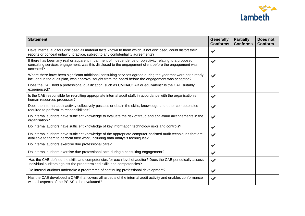

| <b>Statement</b>                                                                                                                                                                                                              | <b>Generally</b><br><b>Conforms</b> | <b>Partially</b><br><b>Conforms</b> | Does not<br><b>Conform</b> |
|-------------------------------------------------------------------------------------------------------------------------------------------------------------------------------------------------------------------------------|-------------------------------------|-------------------------------------|----------------------------|
| Have internal auditors disclosed all material facts known to them which, if not disclosed, could distort their<br>reports or conceal unlawful practice, subject to any confidentiality agreements?                            | $\blacktriangledown$                |                                     |                            |
| If there has been any real or apparent impairment of independence or objectivity relating to a proposed<br>consulting services engagement, was this disclosed to the engagement client before the engagement was<br>accepted? | $\blacktriangledown$                |                                     |                            |
| Where there have been significant additional consulting services agreed during the year that were not already<br>included in the audit plan, was approval sought from the board before the engagement was accepted?           | $\blacktriangledown$                |                                     |                            |
| Does the CAE hold a professional qualification, such as CMIIA/CCAB or equivalent? Is the CAE suitably<br>experienced?                                                                                                         | $\blacktriangleright$               |                                     |                            |
| Is the CAE responsible for recruiting appropriate internal audit staff, in accordance with the organisation's<br>human resources processes?                                                                                   | $\blacktriangledown$                |                                     |                            |
| Does the internal audit activity collectively possess or obtain the skills, knowledge and other competencies<br>required to perform its responsibilities?                                                                     | $\blacktriangledown$                |                                     |                            |
| Do internal auditors have sufficient knowledge to evaluate the risk of fraud and anti-fraud arrangements in the<br>organisation?                                                                                              | $\blacktriangledown$                |                                     |                            |
| Do internal auditors have sufficient knowledge of key information technology risks and controls?                                                                                                                              | $\blacktriangledown$                |                                     |                            |
| Do internal auditors have sufficient knowledge of the appropriate computer-assisted audit techniques that are<br>available to them to perform their work, including data analysis techniques?                                 | $\blacktriangledown$                |                                     |                            |
| Do internal auditors exercise due professional care?                                                                                                                                                                          | $\blacktriangledown$                |                                     |                            |
| Do internal auditors exercise due professional care during a consulting engagement?                                                                                                                                           | $\blacktriangledown$                |                                     |                            |
| Has the CAE defined the skills and competencies for each level of auditor? Does the CAE periodically assess<br>individual auditors against the predetermined skills and competencies?                                         | $\blacktriangledown$                |                                     |                            |
| Do internal auditors undertake a programme of continuing professional development?                                                                                                                                            | $\checkmark$                        |                                     |                            |
| Has the CAE developed a QAIP that covers all aspects of the internal audit activity and enables conformance<br>with all aspects of the PSIAS to be evaluated?                                                                 | $\blacktriangledown$                |                                     |                            |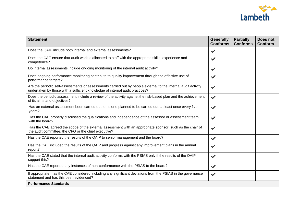

| <b>Statement</b>                                                                                                                                                                               | <b>Generally</b><br><b>Conforms</b> | <b>Partially</b><br><b>Conforms</b> | Does not<br>Conform |
|------------------------------------------------------------------------------------------------------------------------------------------------------------------------------------------------|-------------------------------------|-------------------------------------|---------------------|
| Does the QAIP include both internal and external assessments?                                                                                                                                  | $\blacktriangledown$                |                                     |                     |
| Does the CAE ensure that audit work is allocated to staff with the appropriate skills, experience and<br>competence?                                                                           | $\blacktriangledown$                |                                     |                     |
| Do internal assessments include ongoing monitoring of the internal audit activity?                                                                                                             | $\blacktriangledown$                |                                     |                     |
| Does ongoing performance monitoring contribute to quality improvement through the effective use of<br>performance targets?                                                                     | $\blacktriangledown$                |                                     |                     |
| Are the periodic self-assessments or assessments carried out by people external to the internal audit activity<br>undertaken by those with a sufficient knowledge of internal audit practices? | $\blacktriangledown$                |                                     |                     |
| Does the periodic assessment include a review of the activity against the risk-based plan and the achievement<br>of its aims and objectives?                                                   | $\blacktriangledown$                |                                     |                     |
| Has an external assessment been carried out, or is one planned to be carried out, at least once every five<br>years?                                                                           | $\blacktriangledown$                |                                     |                     |
| Has the CAE properly discussed the qualifications and independence of the assessor or assessment team<br>with the board?                                                                       | $\blacktriangledown$                |                                     |                     |
| Has the CAE agreed the scope of the external assessment with an appropriate sponsor, such as the chair of<br>the audit committee, the CFO or the chief executive?                              | $\blacktriangledown$                |                                     |                     |
| Has the CAE reported the results of the QAIP to senior management and the board?                                                                                                               | $\blacktriangledown$                |                                     |                     |
| Has the CAE included the results of the QAIP and progress against any improvement plans in the annual<br>report?                                                                               | $\blacktriangleright$               |                                     |                     |
| Has the CAE stated that the internal audit activity conforms with the PSIAS only if the results of the QAIP<br>support this?                                                                   | $\blacktriangledown$                |                                     |                     |
| Has the CAE reported any instances of non-conformance with the PSIAS to the board?                                                                                                             | $\blacktriangledown$                |                                     |                     |
| If appropriate, has the CAE considered including any significant deviations from the PSIAS in the governance<br>statement and has this been evidenced?                                         | $\blacktriangledown$                |                                     |                     |
| <b>Performance Standards</b>                                                                                                                                                                   |                                     |                                     |                     |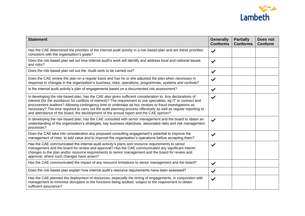

| <b>Statement</b>                                                                                                                                                                                                                                                                                                                                                                                                                                                                                                                                        | <b>Generally</b><br><b>Conforms</b> | <b>Partially</b><br><b>Conforms</b> | Does not<br><b>Conform</b> |
|---------------------------------------------------------------------------------------------------------------------------------------------------------------------------------------------------------------------------------------------------------------------------------------------------------------------------------------------------------------------------------------------------------------------------------------------------------------------------------------------------------------------------------------------------------|-------------------------------------|-------------------------------------|----------------------------|
| Has the CAE determined the priorities of the internal audit activity in a risk-based plan and are these priorities<br>consistent with the organisation's goals?                                                                                                                                                                                                                                                                                                                                                                                         | $\blacktriangledown$                |                                     |                            |
| Does the risk-based plan set out how internal audit's work will identify and address local and national issues<br>and risks?                                                                                                                                                                                                                                                                                                                                                                                                                            | $\blacktriangledown$                |                                     |                            |
| Does the risk-based plan set out the: Audit work to be carried out?                                                                                                                                                                                                                                                                                                                                                                                                                                                                                     | $\checkmark$                        |                                     |                            |
| Does the CAE review the plan on a regular basis and has he or she adjusted the plan when necessary in<br>response to changes in the organisation's business, risks, operations, programmes, systems and controls?                                                                                                                                                                                                                                                                                                                                       |                                     |                                     |                            |
| Is the internal audit activity's plan of engagements based on a documented risk assessment?                                                                                                                                                                                                                                                                                                                                                                                                                                                             | $\blacktriangledown$                |                                     |                            |
| In developing the risk-based plan, has the CAE also given sufficient consideration to: Any declarations of<br>interest (for the avoidance for conflicts of interest)? The requirement to use specialists, eg IT or contract and<br>procurement auditors? Allowing contingency time to undertake ad hoc reviews or fraud investigations as<br>necessary? The time required to carry out the audit planning process effectively as well as regular reporting to<br>and attendance of the board, the development of the annual report and the CAE opinion? | $\blacktriangledown$                |                                     |                            |
| In developing the risk-based plan, has the CAE consulted with senior management and the board to obtain an<br>understanding of the organisation's strategies, key business objectives, associated risks and risk management<br>processes?                                                                                                                                                                                                                                                                                                               | $\blacktriangledown$                |                                     |                            |
| Does the CAE take into consideration any proposed consulting engagement's potential to improve the<br>management of risks, to add value and to improve the organisation's operations before accepting them?                                                                                                                                                                                                                                                                                                                                             | $\checkmark$                        |                                     |                            |
| Has the CAE communicated the internal audit activity's plans and resource requirements to senior<br>management and the board for review and approval? Has the CAE communicated any significant interim<br>changes to the plan and/or resource requirements to senior management and the board for review and<br>approval, where such changes have arisen?                                                                                                                                                                                               | $\blacktriangledown$                |                                     |                            |
| Has the CAE communicated the impact of any resource limitations to senior management and the board?                                                                                                                                                                                                                                                                                                                                                                                                                                                     | $\checkmark$                        |                                     |                            |
| Does the risk-based plan explain how internal audit's resource requirements have been assessed?                                                                                                                                                                                                                                                                                                                                                                                                                                                         | $\blacktriangledown$                |                                     |                            |
| Has the CAE planned the deployment of resources, especially the timing of engagements, in conjunction with<br>management to minimise disruption to the functions being audited, subject to the requirement to obtain<br>sufficient assurance?                                                                                                                                                                                                                                                                                                           | $\blacktriangledown$                |                                     |                            |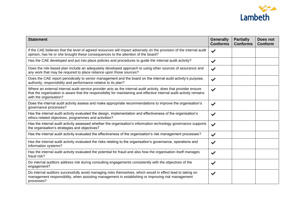

| <b>Statement</b>                                                                                                                                                                                                                                                   | <b>Generally</b><br><b>Conforms</b> | <b>Partially</b><br><b>Conforms</b> | Does not<br>Conform |
|--------------------------------------------------------------------------------------------------------------------------------------------------------------------------------------------------------------------------------------------------------------------|-------------------------------------|-------------------------------------|---------------------|
| If the CAE believes that the level of agreed resources will impact adversely on the provision of the internal audit<br>opinion, has he or she brought these consequences to the attention of the board?                                                            | $\blacktriangledown$                |                                     |                     |
| Has the CAE developed and put into place policies and procedures to guide the internal audit activity?                                                                                                                                                             | $\blacktriangledown$                |                                     |                     |
| Does the risk-based plan include an adequately developed approach to using other sources of assurance and<br>any work that may be required to place reliance upon those sources?                                                                                   | $\blacktriangledown$                |                                     |                     |
| Does the CAE report periodically to senior management and the board on the internal audit activity's purpose,<br>authority, responsibility and performance relative to its plan?                                                                                   | $\blacktriangledown$                |                                     |                     |
| Where an external internal audit service provider acts as the internal audit activity, does that provider ensure<br>that the organisation is aware that the responsibility for maintaining and effective internal audit activity remains<br>with the organisation? | $\blacktriangledown$                |                                     |                     |
| Does the internal audit activity assess and make appropriate recommendations to improve the organisation's<br>governance processes?                                                                                                                                | $\blacktriangledown$                |                                     |                     |
| Has the internal audit activity evaluated the design, implementation and effectiveness of the organisation's<br>ethics-related objectives, programmes and activities?                                                                                              | $\blacktriangledown$                |                                     |                     |
| Has the internal audit activity assessed whether the organisation's information technology governance supports<br>the organisation's strategies and objectives?                                                                                                    | $\blacktriangledown$                |                                     |                     |
| Has the internal audit activity evaluated the effectiveness of the organisation's risk management processes?                                                                                                                                                       | $\blacktriangledown$                |                                     |                     |
| Has the internal audit activity evaluated the risks relating to the organisation's governance, operations and<br>information systems?                                                                                                                              | $\blacktriangleright$               |                                     |                     |
| Has the internal audit activity evaluated the potential for fraud and also how the organisation itself manages<br>fraud risk?                                                                                                                                      | $\blacktriangledown$                |                                     |                     |
| Do internal auditors address risk during consulting engagements consistently with the objectives of the<br>engagement?                                                                                                                                             | $\blacktriangleright$               |                                     |                     |
| Do internal auditors successfully avoid managing risks themselves, which would in effect lead to taking on<br>management responsibility, when assisting management in establishing or improving risk management<br>processes?                                      | $\blacktriangledown$                |                                     |                     |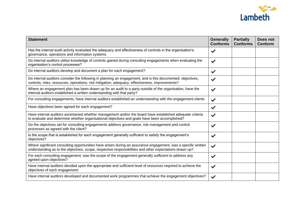

| <b>Statement</b>                                                                                                                                                                                                         | <b>Generally</b><br><b>Conforms</b> | <b>Partially</b><br><b>Conforms</b> | Does not<br><b>Conform</b> |
|--------------------------------------------------------------------------------------------------------------------------------------------------------------------------------------------------------------------------|-------------------------------------|-------------------------------------|----------------------------|
| Has the internal audit activity evaluated the adequacy and effectiveness of controls in the organisation's<br>governance, operations and information systems                                                             | $\blacktriangledown$                |                                     |                            |
| Do internal auditors utilise knowledge of controls gained during consulting engagements when evaluating the<br>organisation's control processes?                                                                         | $\blacktriangledown$                |                                     |                            |
| Do internal auditors develop and document a plan for each engagement?                                                                                                                                                    | $\blacktriangledown$                |                                     |                            |
| Do internal auditors consider the following in planning an engagement, and is this documented: objectives,<br>controls, risks, resources, operations, risk mitigation, adequacy, effectiveness, improvements?            | $\blacktriangledown$                |                                     |                            |
| Where an engagement plan has been drawn up for an audit to a party outside of the organisation, have the<br>internal auditors established a written understanding with that party?                                       | $\blacktriangledown$                |                                     |                            |
| For consulting engagements, have internal auditors established an understanding with the engagement clients                                                                                                              | $\blacktriangledown$                |                                     |                            |
| Have objectives been agreed for each engagement?                                                                                                                                                                         | $\checkmark$                        |                                     |                            |
| Have internal auditors ascertained whether management and/or the board have established adequate criteria<br>to evaluate and determine whether organisational objectives and goals have been accomplished?               | $\blacktriangledown$                |                                     |                            |
| Do the objectives set for consulting engagements address governance, risk management and control<br>processes as agreed with the client?                                                                                 | $\blacktriangledown$                |                                     |                            |
| Is the scope that is established for each engagement generally sufficient to satisfy the engagement's<br>objectives?                                                                                                     | $\blacktriangledown$                |                                     |                            |
| Where significant consulting opportunities have arisen during an assurance engagement, was a specific written<br>understanding as to the objectives, scope, respective responsibilities and other expectations drawn up? | $\blacktriangledown$                |                                     |                            |
| For each consulting engagement, was the scope of the engagement generally sufficient to address any<br>agreed-upon objectives?                                                                                           | $\blacktriangledown$                |                                     |                            |
| Have internal auditors decided upon the appropriate and sufficient level of resources required to achieve the<br>objectives of each engagement                                                                           | $\blacktriangledown$                |                                     |                            |
| Have internal auditors developed and documented work programmes that achieve the engagement objectives?                                                                                                                  |                                     |                                     |                            |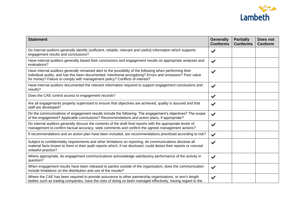

| <b>Statement</b>                                                                                                                                                                                                                                                                                      | <b>Generally</b><br><b>Conforms</b> | <b>Partially</b><br><b>Conforms</b> | Does not<br>Conform |
|-------------------------------------------------------------------------------------------------------------------------------------------------------------------------------------------------------------------------------------------------------------------------------------------------------|-------------------------------------|-------------------------------------|---------------------|
| Do internal auditors generally identify (sufficient, reliable, relevant and useful) information which supports<br>engagement results and conclusions?                                                                                                                                                 | $\blacktriangledown$                |                                     |                     |
| Have internal auditors generally based their conclusions and engagement results on appropriate analyses and<br>evaluations?                                                                                                                                                                           | $\blacktriangledown$                |                                     |                     |
| Have internal auditors generally remained alert to the possibility of the following when performing their<br>individual audits, and has this been documented: Intentional wrongdoing? Errors and omissions? Poor value<br>for money? Failure to comply with management policy? Conflicts of interest? | $\blacktriangledown$                |                                     |                     |
| Have internal auditors documented the relevant information required to support engagement conclusions and<br>results?                                                                                                                                                                                 | $\blacktriangledown$                |                                     |                     |
| Does the CAE control access to engagement records?                                                                                                                                                                                                                                                    | $\blacktriangledown$                |                                     |                     |
| Are all engagements properly supervised to ensure that objectives are achieved, quality is assured and that<br>staff are developed?                                                                                                                                                                   | $\blacktriangledown$                |                                     |                     |
| Do the communications of engagement results include the following: The engagement's objectives? The scope<br>of the engagement? Applicable conclusions? Recommendations and action plans, if appropriate?                                                                                             | $\blacktriangledown$                |                                     |                     |
| Do internal auditors generally discuss the contents of the draft final reports with the appropriate levels of<br>management to confirm factual accuracy, seek comments and confirm the agreed management actions?                                                                                     | $\blacktriangledown$                |                                     |                     |
| If recommendations and an action plan have been included, are recommendations prioritised according to risk?                                                                                                                                                                                          | $\blacktriangledown$                |                                     |                     |
| Subject to confidentiality requirements and other limitations on reporting, do communications disclose all<br>material facts known to them in their audit reports which, if not disclosed, could distort their reports or conceal<br>unlawful practice?                                               | $\blacktriangledown$                |                                     |                     |
| Where appropriate, do engagement communications acknowledge satisfactory performance of the activity in<br>question?                                                                                                                                                                                  | $\blacktriangledown$                |                                     |                     |
| When engagement results have been released to parties outside of the organisation, does the communication<br>include limitations on the distribution and use of the results?                                                                                                                          | $\blacktriangledown$                |                                     |                     |
| Where the CAE has been required to provide assurance to other partnership organisations, or arm's length<br>bodies such as trading companies, have the risks of doing so been managed effectively, having regard to the                                                                               | $\blacktriangledown$                |                                     |                     |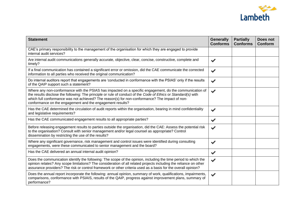

| <b>Statement</b>                                                                                                                                                                                                                                                                                                                                                                         | <b>Generally</b><br><b>Conforms</b> | <b>Partially</b><br><b>Conforms</b> | <b>Does not</b><br>Conform |
|------------------------------------------------------------------------------------------------------------------------------------------------------------------------------------------------------------------------------------------------------------------------------------------------------------------------------------------------------------------------------------------|-------------------------------------|-------------------------------------|----------------------------|
| CAE's primary responsibility to the management of the organisation for which they are engaged to provide<br>internal audit services?                                                                                                                                                                                                                                                     |                                     |                                     |                            |
| Are internal audit communications generally accurate, objective, clear, concise, constructive, complete and<br>timely?                                                                                                                                                                                                                                                                   | $\blacktriangledown$                |                                     |                            |
| If a final communication has contained a significant error or omission, did the CAE communicate the corrected<br>information to all parties who received the original communication?                                                                                                                                                                                                     | $\blacktriangledown$                |                                     |                            |
| Do internal auditors report that engagements are 'conducted in conformance with the PSIAS' only if the results<br>of the QAIP support such a statement?                                                                                                                                                                                                                                  | $\blacktriangledown$                |                                     |                            |
| Where any non-conformance with the PSIAS has impacted on a specific engagement, do the communication of<br>the results disclose the following: The principle or rule of conduct of the Code of Ethics or Standard(s) with<br>which full conformance was not achieved? The reason(s) for non-conformance? The impact of non-<br>conformance on the engagement and the engagement results? | $\blacktriangledown$                |                                     |                            |
| Has the CAE determined the circulation of audit reports within the organisation, bearing in mind confidentiality<br>and legislative requirements?                                                                                                                                                                                                                                        | $\blacktriangledown$                |                                     |                            |
| Has the CAE communicated engagement results to all appropriate parties?                                                                                                                                                                                                                                                                                                                  | $\blacktriangledown$                |                                     |                            |
| Before releasing engagement results to parties outside the organisation, did the CAE: Assess the potential risk<br>to the organisation? Consult with senior management and/or legal counsel as appropriate? Control<br>dissemination by restricting the use of the results?                                                                                                              | $\blacktriangledown$                |                                     |                            |
| Where any significant governance, risk management and control issues were identified during consulting<br>engagements, were these communicated to senior management and the board?                                                                                                                                                                                                       | $\blacktriangledown$                |                                     |                            |
| Has the CAE delivered an annual internal audit opinion?                                                                                                                                                                                                                                                                                                                                  | $\blacktriangledown$                |                                     |                            |
| Does the communication identify the following: The scope of the opinion, including the time period to which the<br>opinion relates? Any scope limitations? The consideration of all related projects including the reliance on other<br>assurance providers? The risk or control framework or other criteria used as a basis for the overall opinion?                                    | $\blacktriangleright$               |                                     |                            |
| Does the annual report incorporate the following: annual opinion, summary of work, qualifications, impairments,<br>comparisons, conformance with PSIAIS, results of the QAIP, progress against improvement plans, summary of<br>performance?                                                                                                                                             | $\blacktriangleright$               |                                     |                            |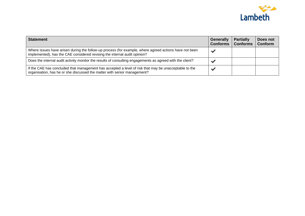

| <b>Statement</b>                                                                                                                                                                    | <b>Generally</b><br><b>Conforms</b> | <b>Partially</b><br><b>Conforms</b> | Does not<br>Conform |
|-------------------------------------------------------------------------------------------------------------------------------------------------------------------------------------|-------------------------------------|-------------------------------------|---------------------|
| Where issues have arisen during the follow-up process (for example, where agreed actions have not been<br>implemented), has the CAE considered revising the internal audit opinion? |                                     |                                     |                     |
| Does the internal audit activity monitor the results of consulting engagements as agreed with the client?                                                                           | ∙                                   |                                     |                     |
| If the CAE has concluded that management has accepted a level of risk that may be unacceptable to the<br>organisation, has he or she discussed the matter with senior management?   | ⊌                                   |                                     |                     |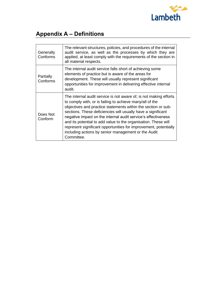

## **Appendix A – Definitions**

| Generally<br>Conforms | The relevant structures, policies, and procedures of the internal<br>audit service, as well as the processes by which they are<br>applied, at least comply with the requirements of the section in<br>all material respects.                                                                                                                                                                                                                                                                                                               |
|-----------------------|--------------------------------------------------------------------------------------------------------------------------------------------------------------------------------------------------------------------------------------------------------------------------------------------------------------------------------------------------------------------------------------------------------------------------------------------------------------------------------------------------------------------------------------------|
| Partially<br>Conforms | The internal audit service falls short of achieving some<br>elements of practice but is aware of the areas for<br>development. These will usually represent significant<br>opportunities for improvement in delivering effective internal<br>audit.                                                                                                                                                                                                                                                                                        |
| Does Not<br>Conform   | The internal audit service is not aware of, is not making efforts<br>to comply with, or is failing to achieve many/all of the<br>objectives and practice statements within the section or sub-<br>sections. These deficiencies will usually have a significant<br>negative impact on the internal audit service's effectiveness<br>and its potential to add value to the organisation. These will<br>represent significant opportunities for improvement, potentially<br>including actions by senior management or the Audit<br>Committee. |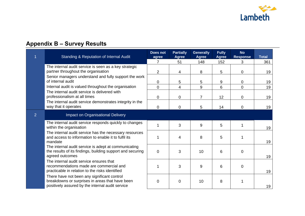

## **Appendix B – Survey Results**

|                | <b>Standing &amp; Reputation of Internal Audit</b>                                                                                                 | <b>Does not</b><br>agree | <b>Partially</b><br><b>Agree</b> | <b>Generally</b><br><b>Agree</b> | <b>Fully</b><br><b>Agree</b> | <b>No</b><br><b>Response</b> | <b>Total</b> |
|----------------|----------------------------------------------------------------------------------------------------------------------------------------------------|--------------------------|----------------------------------|----------------------------------|------------------------------|------------------------------|--------------|
|                |                                                                                                                                                    | $\overline{7}$           | 51                               | 148                              | 152                          | 3                            | 361          |
|                | The internal audit service is seen as a key strategic<br>partner throughout the organisation                                                       | $\overline{2}$           | 4                                | 8                                | 5                            | 0                            | 19           |
|                | Senior managers understand and fully support the work<br>of internal audit                                                                         | 0                        | 5                                | 5                                | 9                            | 0                            | 19           |
|                | Internal audit is valued throughout the organisation                                                                                               | $\overline{0}$           | $\overline{4}$                   | 9                                | 6                            | $\Omega$                     | 19           |
|                | The internal audit service is delivered with<br>professionalism at all times                                                                       | 0                        | $\mathbf 0$                      | $\overline{7}$                   | 12                           | 0                            | 19           |
|                | The internal audit service demonstrates integrity in the<br>way that it operates                                                                   | $\overline{0}$           | $\overline{0}$                   | 5                                | 14                           | 0                            | 19           |
| $\overline{2}$ | Impact on Organisational Delivery                                                                                                                  |                          |                                  |                                  |                              |                              |              |
|                | The internal audit service responds quickly to changes<br>within the organisation                                                                  | 1                        | 3                                | 9                                | 5                            | 1                            | 19           |
|                | The internal audit service has the necessary resources<br>and access to information to enable it to fulfil its<br>mandate                          |                          | 4                                | 8                                | 5                            |                              | 19           |
|                | The internal audit service is adept at communicating<br>the results of its findings, building support and securing<br>agreed outcomes              | $\mathbf 0$              | 3                                | 10                               | 6                            | 0                            | 19           |
|                | The internal audit service ensures that<br>recommendations made are commercial and<br>practicable in relation to the risks identified              |                          | 3                                | 9                                | 6                            | 0                            | 19           |
|                | There have not been any significant control<br>breakdowns or surprises in areas that have been<br>positively assured by the internal audit service | 0                        | $\mathbf 0$                      | 10                               | 8                            |                              | 19           |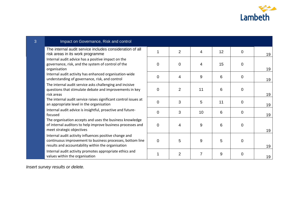

| 3 | Impact on Governance, Risk and control                                                                                                                                    |                |                |                |    |                |    |
|---|---------------------------------------------------------------------------------------------------------------------------------------------------------------------------|----------------|----------------|----------------|----|----------------|----|
|   | The internal audit service includes consideration of all<br>risk areas in its work programme                                                                              | 1              | $\overline{2}$ | 4              | 12 | $\mathbf 0$    | 19 |
|   | Internal audit advice has a positive impact on the<br>governance, risk, and the system of control of the<br>organisation                                                  | $\overline{0}$ | $\mathbf 0$    | 4              | 15 | $\overline{0}$ | 19 |
|   | Internal audit activity has enhanced organisation-wide<br>understanding of governance, risk, and control                                                                  | $\overline{0}$ | 4              | 9              | 6  | $\overline{0}$ | 19 |
|   | The internal audit service asks challenging and incisive<br>questions that stimulate debate and improvements in key<br>risk areas                                         | $\overline{0}$ | $\overline{2}$ | 11             | 6  | $\overline{0}$ | 19 |
|   | The internal audit service raises significant control issues at<br>an appropriate level in the organisation                                                               | $\overline{0}$ | 3              | 5              | 11 | $\Omega$       | 19 |
|   | Internal audit advice is insightful, proactive and future-<br>focused                                                                                                     | $\Omega$       | 3              | 10             | 6  | $\Omega$       | 19 |
|   | The organisation accepts and uses the business knowledge<br>of internal auditors to help improve business processes and<br>meet strategic objectives                      | $\mathbf 0$    | 4              | 9              | 6  | $\mathbf 0$    | 19 |
|   | Internal audit activity influences positive change and<br>continuous improvement to business processes, bottom line<br>results and accountability within the organisation | $\overline{0}$ | 5              | 9              | 5  | 0              | 19 |
|   | Internal audit activity promotes appropriate ethics and<br>values within the organisation                                                                                 | 1              | $\overline{2}$ | $\overline{7}$ | 9  | $\mathbf 0$    | 19 |

*Insert survey results or delete.*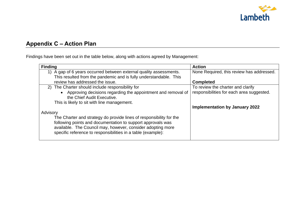

### **Appendix C – Action Plan**

Findings have been set out in the table below, along with actions agreed by Management:

| <b>Finding</b>                                                                               | <b>Action</b>                             |
|----------------------------------------------------------------------------------------------|-------------------------------------------|
| 1) A gap of 6 years occurred between external quality assessments.                           | None Required, this review has addressed. |
| This resulted from the pandemic and is fully understandable. This                            |                                           |
| review has addressed the issue.                                                              | <b>Completed</b>                          |
| 2) The Charter should include responsibility for                                             | To review the charter and clarify         |
| • Approving decisions regarding the appointment and removal of<br>the Chief Audit Executive. | responsibilities for each area suggested. |
| This is likely to sit with line management.                                                  |                                           |
|                                                                                              | <b>Implementation by January 2022</b>     |
| Advisory                                                                                     |                                           |
| The Charter and strategy do provide lines of responsibility for the                          |                                           |
| following points and documentation to support approvals was                                  |                                           |
| available. The Council may, however, consider adopting more                                  |                                           |
| specific reference to responsibilities in a table (example):                                 |                                           |
|                                                                                              |                                           |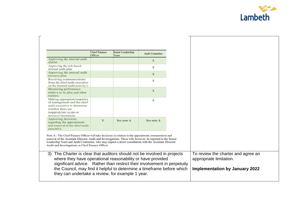

┑

|                                                                                                                                                                                                                                                                                                                                                                                       | <b>Chief Finance</b><br>Officer | Senior Leadership<br>Team                                                | <b>Audit Committee</b> |
|---------------------------------------------------------------------------------------------------------------------------------------------------------------------------------------------------------------------------------------------------------------------------------------------------------------------------------------------------------------------------------------|---------------------------------|--------------------------------------------------------------------------|------------------------|
| Approving the internal audit<br>charter                                                                                                                                                                                                                                                                                                                                               |                                 |                                                                          | X                      |
| Approving the risk based<br>internal audit plan                                                                                                                                                                                                                                                                                                                                       |                                 |                                                                          | X                      |
| Approving the internal audit<br>resource plan                                                                                                                                                                                                                                                                                                                                         |                                 |                                                                          | X                      |
| Receiving communications<br>from the chief audit executive<br>on the internal audit activity's                                                                                                                                                                                                                                                                                        |                                 |                                                                          | X                      |
| Monitoring performance<br>relative to its plan and other<br>matters:                                                                                                                                                                                                                                                                                                                  |                                 |                                                                          | X                      |
| Making appropriate enquiries<br>of management and the chief<br>audit executive to determine<br>whether there are<br>inappropriate scope or<br>resource limitations.                                                                                                                                                                                                                   |                                 |                                                                          | X                      |
| Approving decisions<br>regarding the appointment<br>and removal of the chief audit<br>executive.                                                                                                                                                                                                                                                                                      | X                               | See note A                                                               | See note A             |
| Note A - The Chief Finance Officer will take decisions in relation to the appointment, remuneration and<br>removal of the Assistant Director Audit and Investigations. These will, however, be reported to the Senior<br>Leadership Team and Audit Committee, who may request a direct consultation with the Assistant Director<br>Audit and Investigations or Chief Finance Officer. |                                 |                                                                          |                        |
| The Charter is clear that auditors should not be involved in projects<br>3)<br>where they have operational reasonability or have provided                                                                                                                                                                                                                                             |                                 |                                                                          |                        |
|                                                                                                                                                                                                                                                                                                                                                                                       |                                 | significant advice. Rather than restrict their involvement in perpetuity |                        |
|                                                                                                                                                                                                                                                                                                                                                                                       |                                 |                                                                          |                        |

 $\overline{\mathsf{T}}$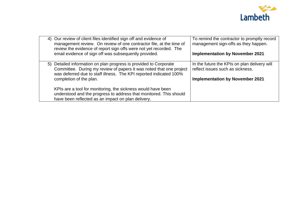

| 4) Our review of client files identified sign off and evidence of<br>management review. On review of one contractor file, at the time of<br>review the evidence of report sign offs were not yet recorded. The<br>email evidence of sign off was subsequently provided. | To remind the contractor to promptly record<br>management sign-offs as they happen.<br><b>Implementation by November 2021</b> |
|-------------------------------------------------------------------------------------------------------------------------------------------------------------------------------------------------------------------------------------------------------------------------|-------------------------------------------------------------------------------------------------------------------------------|
| 5) Detailed information on plan progress is provided to Corporate<br>Committee. During my review of papers it was noted that one project<br>was deferred due to staff illness. The KPI reported indicated 100%<br>completion of the plan.                               | In the future the KPIs on plan delivery will<br>reflect issues such as sickness.<br><b>Implementation by November 2021</b>    |
| KPIs are a tool for monitoring, the sickness would have been<br>understood and the progress to address that monitored. This should<br>have been reflected as an impact on plan delivery.                                                                                |                                                                                                                               |